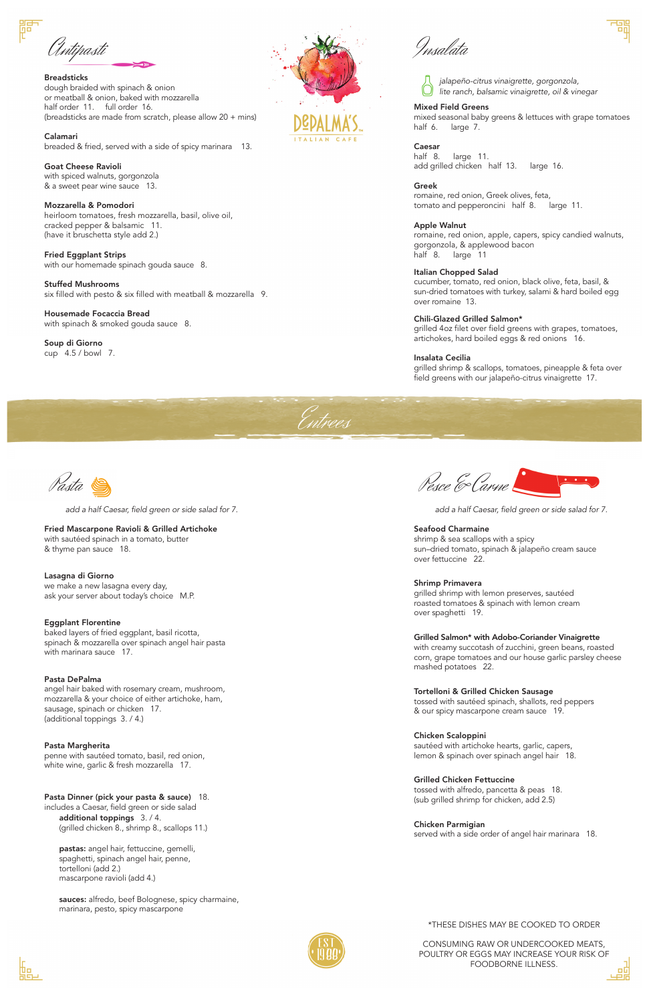**Breadsticks** dough braided with spinach & onion or meatball & onion, baked with mozzarella half order 11. full order 16. (breadsticks are made from scratch, please allow 20 + mins)

Calamari breaded & fried, served with a side of spicy marinara 13.

Fried Eggplant Strips with our homemade spinach gouda sauce 8.

Goat Cheese Ravioli with spiced walnuts, gorgonzola & a sweet pear wine sauce 13.

Housemade Focaccia Bread with spinach & smoked gouda sauce 8.

Mozzarella & Pomodori heirloom tomatoes, fresh mozzarella, basil, olive oil, cracked pepper & balsamic 11. (have it bruschetta style add 2.)

Stuffed Mushrooms six filled with pesto & six filled with meatball & mozzarella 9.

Soup di Giorno cup 4.5 / bowl 7.



Antipasti

## Mixed Field Greens

mixed seasonal baby greens & lettuces with grape tomatoes half 6. large 7.

### Caesar

half 8. large 11. add grilled chicken half 13. large 16.

Greek romaine, red onion, Greek olives, feta,

tomato and pepperoncini half 8. large 11.

Apple Walnut romaine, red onion, apple, capers, spicy candied walnuts, gorgonzola, & applewood bacon

half 8. large 11

Italian Chopped Salad

cucumber, tomato, red onion, black olive, feta, basil, & sun-dried tomatoes with turkey, salami & hard boiled egg over romaine 13.

Pasta Dinner (pick your pasta & sauce) 18. includes a Caesar, field green or side salad additional toppings 3. / 4. (grilled chicken 8., shrimp 8., scallops 11.)

### Chili-Glazed Grilled Salmon\*

sauces: alfredo, beef Bolognese, spicy charmaine, marinara, pesto, spicy mascarpone



grilled 4oz filet over field greens with grapes, tomatoes, artichokes, hard boiled eggs & red onions 16.

#### Insalata Cecilia

grilled shrimp & scallops, tomatoes, pineapple & feta over field greens with our jalapeño-citrus vinaigrette 17.

Insalata





Fried Mascarpone Ravioli & Grilled Artichoke with sautéed spinach in a tomato, butter & thyme pan sauce 18.

Lasagna di Giorno we make a new lasagna every day, ask your server about today's choice M.P.

## Eggplant Florentine

baked layers of fried eggplant, basil ricotta, spinach & mozzarella over spinach angel hair pasta with marinara sauce 17.

# Pasta DePalma

angel hair baked with rosemary cream, mushroom, mozzarella & your choice of either artichoke, ham, sausage, spinach or chicken 17. (additional toppings 3. / 4.)

Pesce & Carne

Pasta Margherita

penne with sautéed tomato, basil, red onion, white wine, garlic & fresh mozzarella 17.

pastas: angel hair, fettuccine, gemelli, spaghetti, spinach angel hair, penne, tortelloni (add 2.) mascarpone ravioli (add 4.)

*add a half Caesar, field green or side salad for 7.*

## Seafood Charmaine

shrimp & sea scallops with a spicy sun–dried tomato, spinach & jalapeño cream sauce over fettuccine 22.

#### Shrimp Primavera

grilled shrimp with lemon preserves, sautéed roasted tomatoes & spinach with lemon cream over spaghetti 19.

# Grilled Salmon\* with Adobo-Coriander Vinaigrette

with creamy succotash of zucchini, green beans, roasted corn, grape tomatoes and our house garlic parsley cheese mashed potatoes 22.

#### Tortelloni & Grilled Chicken Sausage

tossed with sautéed spinach, shallots, red peppers & our spicy mascarpone cream sauce 19.

# Chicken Scaloppini

sautéed with artichoke hearts, garlic, capers, lemon & spinach over spinach angel hair 18.

Grilled Chicken Fettuccine

tossed with alfredo, pancetta & peas 18. (sub grilled shrimp for chicken, add 2.5)

Chicken Parmigian served with a side order of angel hair marinara 18.

*add a half Caesar, field green or side salad for 7.*



# \*THESE DISHES MAY BE COOKED TO ORDER

CONSUMING RAW OR UNDERCOOKED MEATS, POULTRY OR EGGS MAY INCREASE YOUR RISK OF FOODBORNE ILLNESS.